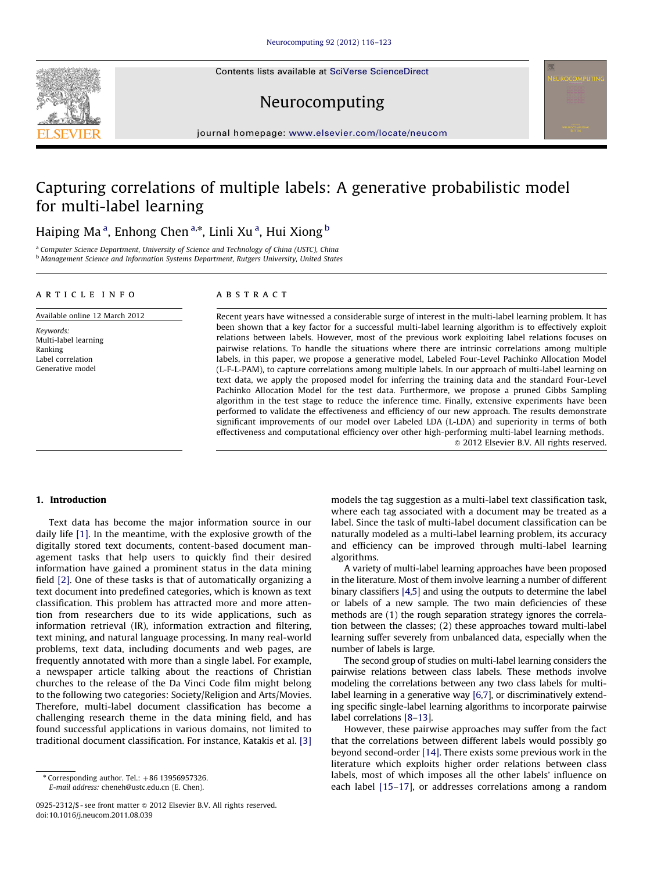Contents lists available at [SciVerse ScienceDirect](www.elsevier.com/locate/neucom)

# Neurocomputing

journal homepage: <www.elsevier.com/locate/neucom>

# Capturing correlations of multiple labels: A generative probabilistic model for multi-label learning

Haiping Ma<sup>a</sup>, Enhong Chen<sup>a,\*</sup>, Linli Xu<sup>a</sup>, Hui Xiong <sup>b</sup>

<sup>a</sup> Computer Science Department, University of Science and Technology of China (USTC), China **b Management Science and Information Systems Department, Rutgers University, United States** 

# article info

Available online 12 March 2012

Keywords: Multi-label learning Ranking Label correlation Generative model

# **ABSTRACT**

Recent years have witnessed a considerable surge of interest in the multi-label learning problem. It has been shown that a key factor for a successful multi-label learning algorithm is to effectively exploit relations between labels. However, most of the previous work exploiting label relations focuses on pairwise relations. To handle the situations where there are intrinsic correlations among multiple labels, in this paper, we propose a generative model, Labeled Four-Level Pachinko Allocation Model (L-F-L-PAM), to capture correlations among multiple labels. In our approach of multi-label learning on text data, we apply the proposed model for inferring the training data and the standard Four-Level Pachinko Allocation Model for the test data. Furthermore, we propose a pruned Gibbs Sampling algorithm in the test stage to reduce the inference time. Finally, extensive experiments have been performed to validate the effectiveness and efficiency of our new approach. The results demonstrate significant improvements of our model over Labeled LDA (L-LDA) and superiority in terms of both effectiveness and computational efficiency over other high-performing multi-label learning methods.

 $\odot$  2012 Elsevier B.V. All rights reserved.

# 1. Introduction

Text data has become the major information source in our daily life [\[1\]](#page-6-0). In the meantime, with the explosive growth of the digitally stored text documents, content-based document management tasks that help users to quickly find their desired information have gained a prominent status in the data mining field [\[2\]](#page-6-0). One of these tasks is that of automatically organizing a text document into predefined categories, which is known as text classification. This problem has attracted more and more attention from researchers due to its wide applications, such as information retrieval (IR), information extraction and filtering, text mining, and natural language processing. In many real-world problems, text data, including documents and web pages, are frequently annotated with more than a single label. For example, a newspaper article talking about the reactions of Christian churches to the release of the Da Vinci Code film might belong to the following two categories: Society/Religion and Arts/Movies. Therefore, multi-label document classification has become a challenging research theme in the data mining field, and has found successful applications in various domains, not limited to traditional document classification. For instance, Katakis et al. [\[3\]](#page-6-0)

 $*$  Corresponding author. Tel.:  $+86$  13956957326. E-mail address: [cheneh@ustc.edu.cn \(E. Chen\)](mailto:cheneh@ustc.edu.cn).

models the tag suggestion as a multi-label text classification task, where each tag associated with a document may be treated as a label. Since the task of multi-label document classification can be naturally modeled as a multi-label learning problem, its accuracy and efficiency can be improved through multi-label learning algorithms.

A variety of multi-label learning approaches have been proposed in the literature. Most of them involve learning a number of different binary classifiers [\[4,5](#page-6-0)] and using the outputs to determine the label or labels of a new sample. The two main deficiencies of these methods are (1) the rough separation strategy ignores the correlation between the classes; (2) these approaches toward multi-label learning suffer severely from unbalanced data, especially when the number of labels is large.

The second group of studies on multi-label learning considers the pairwise relations between class labels. These methods involve modeling the correlations between any two class labels for multilabel learning in a generative way [\[6,7\]](#page-6-0), or discriminatively extending specific single-label learning algorithms to incorporate pairwise label correlations [\[8–13\]](#page-6-0).

However, these pairwise approaches may suffer from the fact that the correlations between different labels would possibly go beyond second-order [\[14\]](#page-6-0). There exists some previous work in the literature which exploits higher order relations between class labels, most of which imposes all the other labels' influence on each label [\[15](#page-6-0)[–17\]](#page-7-0), or addresses correlations among a random



<sup>0925-2312/\$ -</sup> see front matter @ 2012 Elsevier B.V. All rights reserved. doi:[10.1016/j.neucom.2011.08.039](dx.doi.org/10.1016/j.neucom.2011.08.039)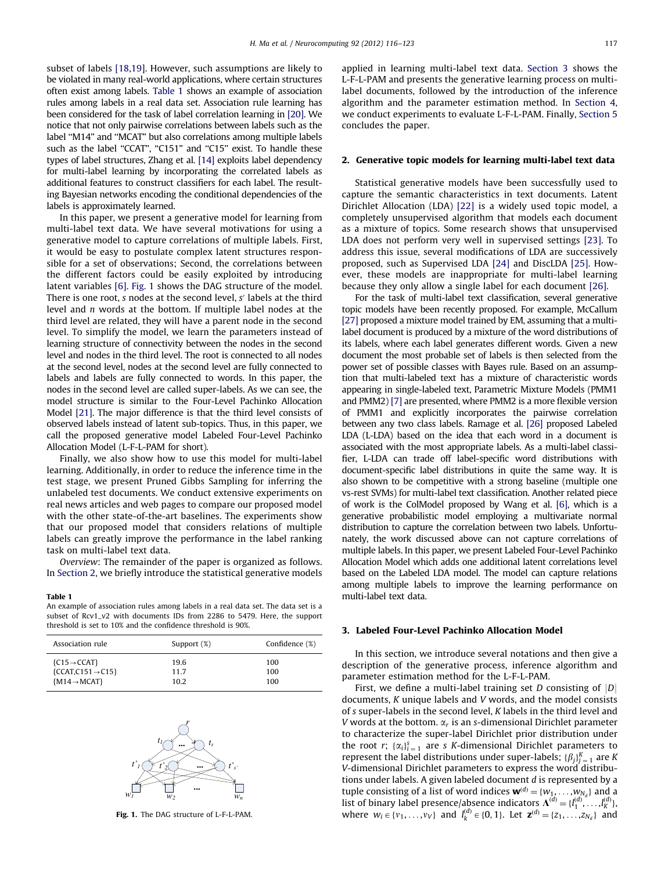subset of labels [\[18,19](#page-7-0)]. However, such assumptions are likely to be violated in many real-world applications, where certain structures often exist among labels. Table 1 shows an example of association rules among labels in a real data set. Association rule learning has been considered for the task of label correlation learning in [\[20\].](#page-7-0) We notice that not only pairwise correlations between labels such as the label ''M14'' and ''MCAT'' but also correlations among multiple labels such as the label "CCAT", "C151" and "C15" exist. To handle these types of label structures, Zhang et al. [\[14\]](#page-6-0) exploits label dependency for multi-label learning by incorporating the correlated labels as additional features to construct classifiers for each label. The resulting Bayesian networks encoding the conditional dependencies of the labels is approximately learned.

In this paper, we present a generative model for learning from multi-label text data. We have several motivations for using a generative model to capture correlations of multiple labels. First, it would be easy to postulate complex latent structures responsible for a set of observations; Second, the correlations between the different factors could be easily exploited by introducing latent variables [\[6\]](#page-6-0). Fig. 1 shows the DAG structure of the model. There is one root,  $s$  nodes at the second level,  $s'$  labels at the third level and  $n$  words at the bottom. If multiple label nodes at the third level are related, they will have a parent node in the second level. To simplify the model, we learn the parameters instead of learning structure of connectivity between the nodes in the second level and nodes in the third level. The root is connected to all nodes at the second level, nodes at the second level are fully connected to labels and labels are fully connected to words. In this paper, the nodes in the second level are called super-labels. As we can see, the model structure is similar to the Four-Level Pachinko Allocation Model [\[21\]](#page-7-0). The major difference is that the third level consists of observed labels instead of latent sub-topics. Thus, in this paper, we call the proposed generative model Labeled Four-Level Pachinko Allocation Model (L-F-L-PAM for short).

Finally, we also show how to use this model for multi-label learning. Additionally, in order to reduce the inference time in the test stage, we present Pruned Gibbs Sampling for inferring the unlabeled test documents. We conduct extensive experiments on real news articles and web pages to compare our proposed model with the other state-of-the-art baselines. The experiments show that our proposed model that considers relations of multiple labels can greatly improve the performance in the label ranking task on multi-label text data.

Overview: The remainder of the paper is organized as follows. In Section 2, we briefly introduce the statistical generative models

#### Table 1

An example of association rules among labels in a real data set. The data set is a subset of Rcv1\_v2 with documents IDs from 2286 to 5479. Here, the support threshold is set to 10% and the confidence threshold is 90%.

| Association rule               | Support $(\%)$ | Confidence (%) |
|--------------------------------|----------------|----------------|
| $\{C15 \rightarrow CCAT\}$     | 19.6           | 100            |
| ${CCAT, C151 \rightarrow C15}$ | 11.7           | 100            |
| ${M14 \rightarrow MCAT}$       | 10.2           | 100            |



Fig. 1. The DAG structure of L-F-L-PAM.

applied in learning multi-label text data. Section 3 shows the L-F-L-PAM and presents the generative learning process on multilabel documents, followed by the introduction of the inference algorithm and the parameter estimation method. In [Section 4,](#page-3-0) we conduct experiments to evaluate L-F-L-PAM. Finally, [Section 5](#page-6-0) concludes the paper.

# 2. Generative topic models for learning multi-label text data

Statistical generative models have been successfully used to capture the semantic characteristics in text documents. Latent Dirichlet Allocation (LDA) [\[22\]](#page-7-0) is a widely used topic model, a completely unsupervised algorithm that models each document as a mixture of topics. Some research shows that unsupervised LDA does not perform very well in supervised settings [\[23\].](#page-7-0) To address this issue, several modifications of LDA are successively proposed, such as Supervised LDA [\[24\]](#page-7-0) and DiscLDA [\[25\].](#page-7-0) However, these models are inappropriate for multi-label learning because they only allow a single label for each document [\[26\].](#page-7-0)

For the task of multi-label text classification, several generative topic models have been recently proposed. For example, McCallum [\[27\]](#page-7-0) proposed a mixture model trained by EM, assuming that a multilabel document is produced by a mixture of the word distributions of its labels, where each label generates different words. Given a new document the most probable set of labels is then selected from the power set of possible classes with Bayes rule. Based on an assumption that multi-labeled text has a mixture of characteristic words appearing in single-labeled text, Parametric Mixture Models (PMM1 and PMM2) [\[7\]](#page-6-0) are presented, where PMM2 is a more flexible version of PMM1 and explicitly incorporates the pairwise correlation between any two class labels. Ramage et al. [\[26\]](#page-7-0) proposed Labeled LDA (L-LDA) based on the idea that each word in a document is associated with the most appropriate labels. As a multi-label classifier, L-LDA can trade off label-specific word distributions with document-specific label distributions in quite the same way. It is also shown to be competitive with a strong baseline (multiple one vs-rest SVMs) for multi-label text classification. Another related piece of work is the ColModel proposed by Wang et al. [\[6\],](#page-6-0) which is a generative probabilistic model employing a multivariate normal distribution to capture the correlation between two labels. Unfortunately, the work discussed above can not capture correlations of multiple labels. In this paper, we present Labeled Four-Level Pachinko Allocation Model which adds one additional latent correlations level based on the Labeled LDA model. The model can capture relations among multiple labels to improve the learning performance on multi-label text data.

# 3. Labeled Four-Level Pachinko Allocation Model

In this section, we introduce several notations and then give a description of the generative process, inference algorithm and parameter estimation method for the L-F-L-PAM.

First, we define a multi-label training set D consisting of  $|D|$ documents, K unique labels and V words, and the model consists of s super-labels in the second level, K labels in the third level and V words at the bottom.  $\alpha_r$  is an s-dimensional Dirichlet parameter to characterize the super-label Dirichlet prior distribution under the root r;  $\{\alpha_i\}_{i=1}^s$  are s K-dimensional Dirichlet parameters to represent the label distributions under super-labels;  $\{\beta_j\}_{j=1}^K$  are K V-dimensional Dirichlet parameters to express the word distributions under labels. A given labeled document d is represented by a tuple consisting of a list of word indices  $\mathbf{w}^{(d)} = \{w_1, \ldots, w_{N_d}\}\$  and a list of binary label presence/absence indicators  $\Lambda^{(d)} = \{l_1^{(d)}, \ldots, l_K^{(d)}\}$ where  $w_i \in \{v_1, \ldots, v_V\}$  and  $l_k^{(d)} \in \{0, 1\}$ . Let  $\mathbf{z}^{(d)} = \{z_1, \ldots, z_{N_d}\}$  and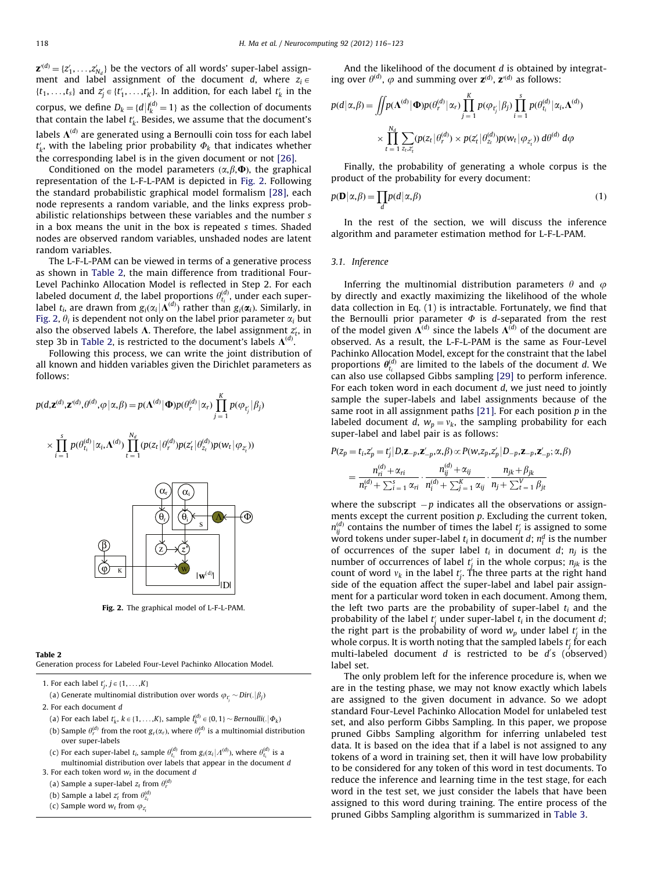$\mathbf{z}^{\prime\prime(d)} = \{z_1', \ldots, z_{N_d}'\}$  be the vectors of all words' super-label assignment and label assignment of the document d, where  $z_i \in$  $\{t_1, \ldots, t_s\}$  and  $z'_j \in \{t'_1, \ldots, t'_K\}$ . In addition, for each label  $t'_k$  in the corpus, we define  $D_k = \{d \mid l_k^{(d)} = 1\}$  as the collection of documents<br>that contain the label t' Bosides, we assume that the document's that contain the label  $t'_k$ . Besides, we assume that the document's labels  $\Lambda^{(d)}$  are generated using a Bernoulli coin toss for each label  $t'_k$ , with the labeling prior probability  $\varPhi_k$  that indicates whether the corresponding label is in the given document or not [\[26\]](#page-7-0).

Conditioned on the model parameters  $(\alpha, \beta, \Phi)$ , the graphical representation of the L-F-L-PAM is depicted in Fig. 2. Following the standard probabilistic graphical model formalism [\[28\],](#page-7-0) each node represents a random variable, and the links express probabilistic relationships between these variables and the number s in a box means the unit in the box is repeated s times. Shaded nodes are observed random variables, unshaded nodes are latent random variables.

The L-F-L-PAM can be viewed in terms of a generative process as shown in Table 2, the main difference from traditional Four-Level Pachinko Allocation Model is reflected in Step 2. For each labeled document d, the label proportions  $\theta_{t_i}^{(d)}$ , under each superlabel  $t_i$ , are drawn from  $g_i(\alpha_i|\Lambda^{(d)})$  rather than  $g_i(\alpha_i)$ . Similarly, in Fig. 2. A is dependent not only on the label prior parameter  $\alpha$ , but Fig. 2,  $\theta_i$  is dependent not only on the label prior parameter  $\alpha_i$  but also the observed labels  $\Lambda$ . Therefore, the label assignment  $z_t'$ , in step 3b in Table 2, is restricted to the document's labels  $\boldsymbol{\Lambda}^{(d)}$ .

Following this process, we can write the joint distribution of all known and hidden variables given the Dirichlet parameters as follows:

$$
p(d, \mathbf{z}^{(d)}, \mathbf{z}^{(d)}, \theta^{(d)}, \varphi | \alpha, \beta) = p(\mathbf{\Lambda}^{(d)} | \mathbf{\Phi}) p(\theta_r^{(d)} | \alpha_r) \prod_{j=1}^K p(\varphi_{t'_j} | \beta_j)
$$

$$
\times \prod_{i=1}^S p(\theta_{t_i}^{(d)} | \alpha_i, \mathbf{\Lambda}^{(d)}) \prod_{t=1}^{N_d} (p(z_t | \theta_r^{(d)}) p(z'_t | \theta_{z_t}^{(d)}) p(w_t | \varphi_{z'_t}))
$$



Fig. 2. The graphical model of L-F-L-PAM.

Table 2

Generation process for Labeled Four-Level Pachinko Allocation Model.

1. For each label  $t'_{j}, j \in \{1, ..., K\}$ 

(a) Generate multinomial distribution over words  $\varphi_{t_j'}$   $\sim$  Dir(. $|\beta_j\rangle$ 

- 2. For each document d
	- (a) For each label  $t'_k$ ,  $k \in \{1, ..., K\}$ , sample  $l_k^{(d)} \in \{0, 1\} \sim \text{Bernoulli}(\cdot | \Phi_k)$
	- (b) Sample  $\theta_r^{(d)}$  from the root  $g_r(\alpha_r)$ , where  $\theta_r^{(d)}$  is a multinomial distribution over super-labels
	- (c) For each super-label  $t_i$ , sample  $\theta_{t_i}^{(d)}$  from  $g_i(\alpha_i | \Lambda^{(d)})$ , where  $\theta_{t_i}^{(d)}$  is a continuously distribution can be the that contains the distribution
- multinomial distribution over labels that appear in the document d 3. For each token word  $w_t$  in the document  $d$
- (a) Sample a super-label  $z_t$  from  $\theta_r^{(d)}$
- (b) Sample a label  $z_t'$  from  $\theta_{z_t}^{(d)}$
- (c) Sample word  $w_t$  from  $\varphi_{z_t}$

And the likelihood of the document d is obtained by integrating over  $\theta^{(d)}$ ,  $\varphi$  and summing over  $\mathbf{z}^{(d)}$ ,  $\mathbf{z}^{(d)}$  as follows:

$$
p(d|\alpha,\beta) = \iint p(\Lambda^{(d)}|\Phi)p(\theta_r^{(d)}|\alpha_r) \prod_{j=1}^K p(\varphi_{t_j}|\beta_j) \prod_{i=1}^s p(\theta_{t_i}^{(d)}|\alpha_i,\Lambda^{(d)})
$$

$$
\times \prod_{t=1}^{N_d} \sum_{z_t,z_t'} (p(z_t|\theta_r^{(d)}) \times p(z_t'|\theta_{z_t}^{(d)}) p(w_t|\varphi_{z_t})) d\theta^{(d)} d\varphi
$$

Finally, the probability of generating a whole corpus is the product of the probability for every document:

$$
p(\mathbf{D}|\alpha,\beta) = \prod_{d} p(d|\alpha,\beta)
$$
 (1)

In the rest of the section, we will discuss the inference algorithm and parameter estimation method for L-F-L-PAM.

### 3.1. Inference

Inferring the multinomial distribution parameters  $\theta$  and  $\varphi$ by directly and exactly maximizing the likelihood of the whole data collection in Eq. (1) is intractable. Fortunately, we find that the Bernoulli prior parameter  $\Phi$  is d-separated from the rest of the model given  $\Lambda^{(d)}$  since the labels  $\Lambda^{(d)}$  of the document are observed. As a result, the L-F-L-PAM is the same as Four-Level Pachinko Allocation Model, except for the constraint that the label proportions  $\theta_{t_i}^{(d)}$  are limited to the labels of the document d. We can also use collapsed Gibbs sampling [\[29\]](#page-7-0) to perform inference. For each token word in each document  $d$ , we just need to jointly sample the super-labels and label assignments because of the same root in all assignment paths  $[21]$ . For each position  $p$  in the labeled document d,  $w_p = v_k$ , the sampling probability for each super-label and label pair is as follows:

$$
P(z_p = t_i, z'_p = t'_j | D, \mathbf{Z}_{-p}, \mathbf{Z}'_{-p}, \alpha, \beta) \propto P(w, z_p, z'_p | D_{-p}, \mathbf{Z}_{-p}, \mathbf{Z}'_{-p}; \alpha, \beta)
$$
  
= 
$$
\frac{n_{ri}^{(d)} + \alpha_{ri}}{n_i^{(d)} + \sum_{i=1}^{s} \alpha_{ri}} \cdot \frac{n_{ij}^{(d)} + \alpha_{ij}}{n_i^{(d)} + \sum_{j=1}^{K} \alpha_{ij}} \cdot \frac{n_{jk} + \beta_{jk}}{n_j + \sum_{t=1}^{V} \beta_{jt}}
$$

where the subscript  $-p$  indicates all the observations or assignments except the current position p. Excluding the current token,  $n_{ij}^{(d)}$  contains the number of times the label  $t_j'$  is assigned to some word tokens under super-label  $t_i$  in document d;  $n_i^d$  is the number of occurrences of the super label  $t_i$  in document d;  $n_i$  is the number of occurrences of label  $t'_j$  in the whole corpus;  $n_{jk}$  is the count of word  $v_k$  in the label  $t'_j$ . The three parts at the right hand side of the equation affect the super-label and label pair assignment for a particular word token in each document. Among them, the left two parts are the probability of super-label  $t_i$  and the probability of the label  $t_j$  under super-label  $t_i$  in the document d; the right part is the probability of word  $w_p$  under label  $t_j$  in the whole corpus. It is worth noting that the sampled labels  $t_j$  for each multi-labeled document  $d$  is restricted to be  $d$ 's (observed) label set.

The only problem left for the inference procedure is, when we are in the testing phase, we may not know exactly which labels are assigned to the given document in advance. So we adopt standard Four-Level Pachinko Allocation Model for unlabeled test set, and also perform Gibbs Sampling. In this paper, we propose pruned Gibbs Sampling algorithm for inferring unlabeled test data. It is based on the idea that if a label is not assigned to any tokens of a word in training set, then it will have low probability to be considered for any token of this word in test documents. To reduce the inference and learning time in the test stage, for each word in the test set, we just consider the labels that have been assigned to this word during training. The entire process of the pruned Gibbs Sampling algorithm is summarized in [Table 3](#page-3-0).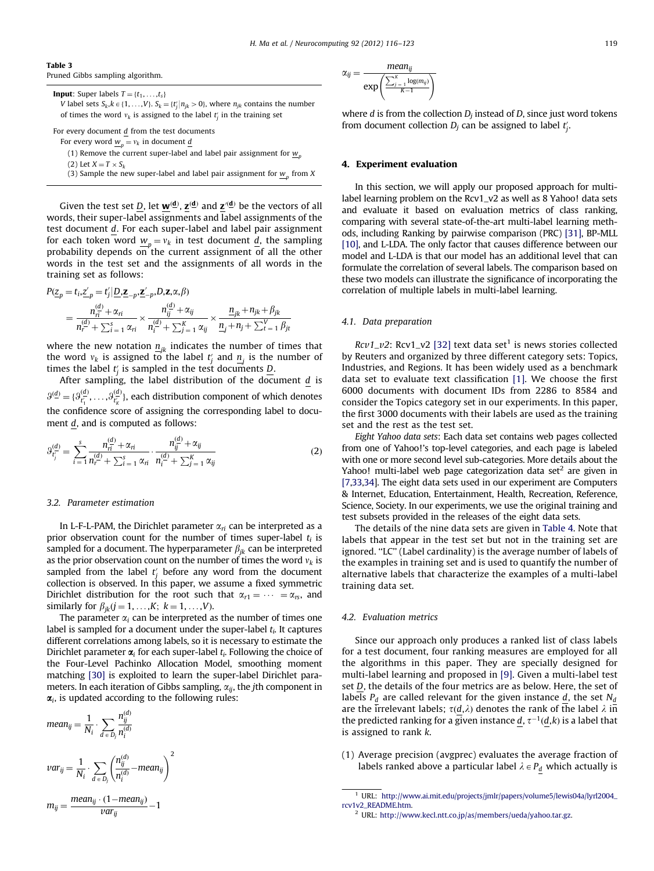### <span id="page-3-0"></span>Table 3 Pruned Gibbs sampling algorithm.

training set as follows:

**Input:** Super labels  $T = \{t_1, \ldots, t_s\}$ V label sets  $S_k, k \in \{1, \ldots, V\}$ .  $S_k = \{t'_j | n_{jk} > 0\}$ , where  $n_{jk}$  contains the number of times the word  $v_k$  is assigned to the label  $t_j$  in the training set

For every document d from the test documents

For every word  $w_n = v_k$  in document d

(1) Remove the current super-label and label pair assignment for  $w_n$ 

(2) Let  $X = T \times S_k$ (3) Sample the new super-label and label pair assignment for  $w<sub>n</sub>$  from X

Given the test set D, let  $w^{(\underline{d})}$ ,  $z^{(\underline{d})}$  and  $z^{(\underline{d})}$  be the vectors of all words, their super-label assignments and label assignments of the test document d. For each super-label and label pair assignment for each token word  $w_p = v_k$  in test document d, the sampling probability depends on the current assignment of all the other words in the test set and the assignments of all words in the

$$
P(\underline{z}_p = t_i, \underline{z'}_p = t'_j | \underline{D}, \underline{z}_{-p}, \underline{z'}_{-p}, D, \underline{z}, \alpha, \beta)
$$
  
= 
$$
\frac{n_{\overline{i}}^{(d)} + \alpha_{ri}}{n_r^{(d)} + \sum_{i=1}^s \alpha_{ri}} \times \frac{n_{ij}^{(d)} + \alpha_{ij}}{n_i^{(d)} + \sum_{j=1}^K \alpha_{ij}} \times \frac{n_{jk} + n_{jk} + \beta_{jk}}{n_j + n_j + \sum_{i=1}^V \beta_{jt}}
$$

where the new notation  $n_{jk}$  indicates the number of times that the word  $v_k$  is assigned to the label  $t'_j$  and  $\underline{n}_j$  is the number of times the label  $t_j'$  is sampled in the test documents <u>D</u>.

After sampling, the label distribution of the document  $d$  is  $\theta^{(\underline{d})}=\{\theta^{(\underline{d})}_{t'_1},\ldots,\theta^{(\underline{d})}_{t'_K}\}$ , each distribution component of which denotes the confidence score of assigning the corresponding label to document *d*, and is computed as follows:

$$
\vartheta_{t'_{j}}^{(\underline{d})} = \sum_{i=1}^{s} \frac{n_{ri}^{(\underline{d})} + \alpha_{ri}}{n_{r}^{(\underline{d})} + \sum_{i=1}^{s} \alpha_{ri}} \cdot \frac{n_{ij}^{(\underline{d})} + \alpha_{ij}}{n_{i}^{(\underline{d})} + \sum_{j=1}^{K} \alpha_{ij}}
$$
(2)

#### 3.2. Parameter estimation

In L-F-L-PAM, the Dirichlet parameter  $\alpha_{ri}$  can be interpreted as a prior observation count for the number of times super-label  $t_i$  is sampled for a document. The hyperparameter  $\beta_{ik}$  can be interpreted as the prior observation count on the number of times the word  $v_k$  is sampled from the label  $t_j'$  before any word from the document collection is observed. In this paper, we assume a fixed symmetric Dirichlet distribution for the root such that  $\alpha_{r1} = \cdots = \alpha_{rs}$ , and similarly for  $\beta_{ik}$  ( $j = 1, ..., K; k = 1, ..., V$ ).

The parameter  $\alpha_i$  can be interpreted as the number of times one label is sampled for a document under the super-label  $t_i$ . It captures different correlations among labels, so it is necessary to estimate the Dirichlet parameter  $\alpha_i$  for each super-label  $t_i$ . Following the choice of the Four-Level Pachinko Allocation Model, smoothing moment matching [\[30\]](#page-7-0) is exploited to learn the super-label Dirichlet parameters. In each iteration of Gibbs sampling,  $\alpha_{ij}$ , the *j*th component in  $\alpha_i$ , is updated according to the following rules:

$$
mean_{ij} = \frac{1}{N_i} \cdot \sum_{d \in D_j} \frac{n_{ij}^{(d)}}{n_i^{(d)}}
$$

$$
var_{ij} = \frac{1}{N_i} \cdot \sum_{d \in D_j} \left(\frac{n_{ij}^{(d)}}{n_i^{(d)}} - mean_{ij}\right)^2
$$

$$
m_{ij} = \frac{mean_{ij} \cdot (1 - mean_{ij})}{var_{ij}} - 1
$$

$$
\alpha_{ij} = \frac{mean_{ij}}{\exp\left(\frac{\sum_{j=1}^{K} log(m_{ij})}{K-1}\right)}
$$

where  $d$  is from the collection  $D_i$  instead of  $D$ , since just word tokens from document collection  $D_j$  can be assigned to label  $t'_j$ .

# 4. Experiment evaluation

In this section, we will apply our proposed approach for multilabel learning problem on the Rcv1\_v2 as well as 8 Yahoo! data sets and evaluate it based on evaluation metrics of class ranking, comparing with several state-of-the-art multi-label learning methods, including Ranking by pairwise comparison (PRC) [\[31\],](#page-7-0) BP-MLL [\[10\]](#page-6-0), and L-LDA. The only factor that causes difference between our model and L-LDA is that our model has an additional level that can formulate the correlation of several labels. The comparison based on these two models can illustrate the significance of incorporating the correlation of multiple labels in multi-label learning.

# 4.1. Data preparation

 $Rcv1_v2$ : Rcv1\_v2 [\[32\]](#page-7-0) text data set<sup>1</sup> is news stories collected by Reuters and organized by three different category sets: Topics, Industries, and Regions. It has been widely used as a benchmark data set to evaluate text classification [\[1\]](#page-6-0). We choose the first 6000 documents with document IDs from 2286 to 8584 and consider the Topics category set in our experiments. In this paper, the first 3000 documents with their labels are used as the training set and the rest as the test set.

Eight Yahoo data sets: Each data set contains web pages collected from one of Yahoo!'s top-level categories, and each page is labeled with one or more second level sub-categories. More details about the Yahoo! multi-label web page categorization data set $^2$  are given in [\[7,](#page-6-0)[33,34\]](#page-7-0). The eight data sets used in our experiment are Computers & Internet, Education, Entertainment, Health, Recreation, Reference, Science, Society. In our experiments, we use the original training and test subsets provided in the releases of the eight data sets.

The details of the nine data sets are given in [Table 4](#page-4-0). Note that labels that appear in the test set but not in the training set are ignored. ''LC'' (Label cardinality) is the average number of labels of the examples in training set and is used to quantify the number of alternative labels that characterize the examples of a multi-label training data set.

# 4.2. Evaluation metrics

Since our approach only produces a ranked list of class labels for a test document, four ranking measures are employed for all the algorithms in this paper. They are specially designed for multi-label learning and proposed in [\[9\].](#page-6-0) Given a multi-label test set D, the details of the four metrics are as below. Here, the set of labels  $P_d$  are called relevant for the given instance d, the set  $N_d$ are the irrelevant labels;  $\tau(d,\lambda)$  denotes the rank of the label  $\lambda$  in the predicted ranking for a given instance  $d$ ,  $\tau^{-1}(d,k)$  is a label that is assigned to rank k.

(1) Average precision (avgprec) evaluates the average fraction of labels ranked above a particular label  $\lambda \in P_d$  which actually is

<sup>1</sup> URL: [http://www.ai.mit.edu/projects/jmlr/papers/volume5/lewis04a/lyrl2004\\_](http://www.ai.mit.edu/projects/jmlr/papers/volume5/lewis04a/lyrl2004_rcv1v2_README.htm) [rcv1v2\\_README.htm](http://www.ai.mit.edu/projects/jmlr/papers/volume5/lewis04a/lyrl2004_rcv1v2_README.htm).

<sup>2</sup> URL: <http://www.kecl.ntt.co.jp/as/members/ueda/yahoo.tar.gz>.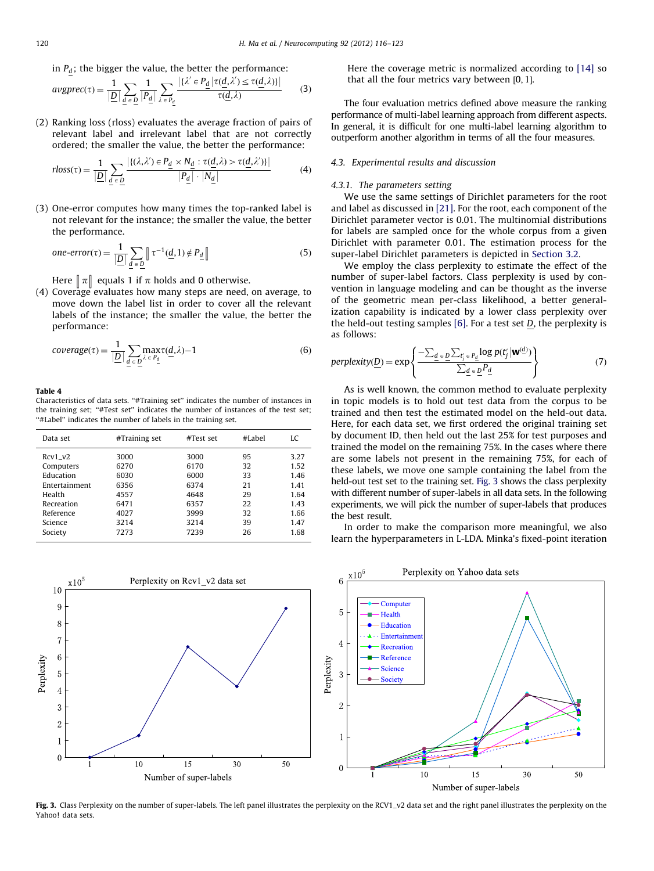<span id="page-4-0"></span>in  $P_d$ ; the bigger the value, the better the performance:

$$
avgprec(\tau) = \frac{1}{|\underline{D}|} \sum_{\underline{d} \in \underline{D}} \frac{1}{|P_{\underline{d}}|} \sum_{\lambda \in P_{\underline{d}}} \frac{|\{\lambda' \in P_{\underline{d}} \mid \tau(\underline{d}, \lambda') \leq \tau(\underline{d}, \lambda)\}|}{\tau(\underline{d}, \lambda)}
$$
(3)

(2) Ranking loss (rloss) evaluates the average fraction of pairs of relevant label and irrelevant label that are not correctly ordered; the smaller the value, the better the performance:

$$
rloss(\tau) = \frac{1}{|D|} \sum_{\underline{d} \in D} \frac{\left| \{ (\lambda, \lambda') \in P_{\underline{d}} \times N_{\underline{d}} : \tau(\underline{d}, \lambda) > \tau(\underline{d}, \lambda') \} \right|}{|P_{\underline{d}}| \cdot |N_{\underline{d}}|} \tag{4}
$$

(3) One-error computes how many times the top-ranked label is not relevant for the instance; the smaller the value, the better the performance.

one-error
$$
(\tau) = \frac{1}{|\underline{D}|} \sum_{\underline{d} \in \underline{D}} \left[ \tau^{-1}(\underline{d}, 1) \notin P_{\underline{d}} \right]
$$
 (5)

Here  $\|\pi\|$  equals 1 if  $\pi$  holds and 0 otherwise.

(4) Coverage evaluates how many steps are need, on average, to move down the label list in order to cover all the relevant labels of the instance; the smaller the value, the better the performance:

$$
coverage(\tau) = \frac{1}{|\underline{D}|} \sum_{\underline{d} \in \underline{D}} \max_{\lambda \in P_{\underline{d}}} \tau(\underline{d}, \lambda) - 1
$$
\n(6)

Table 4

Characteristics of data sets. ''#Training set'' indicates the number of instances in the training set; ''#Test set'' indicates the number of instances of the test set; ''#Label'' indicates the number of labels in the training set.

| Data set      | #Training set | #Test set | #Label | LC   |
|---------------|---------------|-----------|--------|------|
| $Rcv1$ $v2$   | 3000          | 3000      | 95     | 3.27 |
| Computers     | 6270          | 6170      | 32     | 1.52 |
| Education     | 6030          | 6000      | 33     | 1.46 |
| Entertainment | 6356          | 6374      | 21     | 1.41 |
| Health        | 4557          | 4648      | 29     | 1.64 |
| Recreation    | 6471          | 6357      | 22     | 1.43 |
| Reference     | 4027          | 3999      | 32     | 1.66 |
| Science       | 3214          | 3214      | 39     | 1.47 |
| Society       | 7273          | 7239      | 26     | 1.68 |

Perplexity on Yahoo data sets  $x10^5$  $\ddot{6}$ Perplexity on Rcv1 v2 data set  $x10^5$  $10$ Computer  $\mathbf{c}$  $\overline{5}$ - Health 8 Education Entertainme  $\overline{7}$  $\overline{4}$ Recreation  $\epsilon$ Reference Perplexity Perplexity Science 5 3 Societ  $\overline{4}$  $\overline{2}$ 3  $\overline{2}$  $\mathbf{1}$  $10$ 15  $30$ 50  $\theta$  $10$ 15 Number of super-labels

Here the coverage metric is normalized according to [\[14\]](#page-6-0) so that all the four metrics vary between  $[0, 1]$ .

The four evaluation metrics defined above measure the ranking performance of multi-label learning approach from different aspects. In general, it is difficult for one multi-label learning algorithm to outperform another algorithm in terms of all the four measures.

# 4.3. Experimental results and discussion

## 4.3.1. The parameters setting

We use the same settings of Dirichlet parameters for the root and label as discussed in [\[21\].](#page-7-0) For the root, each component of the Dirichlet parameter vector is 0.01. The multinomial distributions for labels are sampled once for the whole corpus from a given Dirichlet with parameter 0.01. The estimation process for the super-label Dirichlet parameters is depicted in [Section 3.2](#page-3-0).

We employ the class perplexity to estimate the effect of the number of super-label factors. Class perplexity is used by convention in language modeling and can be thought as the inverse of the geometric mean per-class likelihood, a better generalization capability is indicated by a lower class perplexity over the held-out testing samples  $[6]$ . For a test set D, the perplexity is as follows:

$$
perplexity(\underline{D}) = \exp\left\{ \frac{-\sum_{\underline{d} \in \underline{D}} \sum_{t'_j \in P_{\underline{d}}} \log p(t'_j | \mathbf{w}^{(\underline{d})})}{\sum_{\underline{d} \in \underline{D}} P_{\underline{d}}} \right\}
$$
(7)

As is well known, the common method to evaluate perplexity in topic models is to hold out test data from the corpus to be trained and then test the estimated model on the held-out data. Here, for each data set, we first ordered the original training set by document ID, then held out the last 25% for test purposes and trained the model on the remaining 75%. In the cases where there are some labels not present in the remaining 75%, for each of these labels, we move one sample containing the label from the held-out test set to the training set. Fig. 3 shows the class perplexity with different number of super-labels in all data sets. In the following experiments, we will pick the number of super-labels that produces the best result.

In order to make the comparison more meaningful, we also learn the hyperparameters in L-LDA. Minka's fixed-point iteration

30

Number of super-labels

50

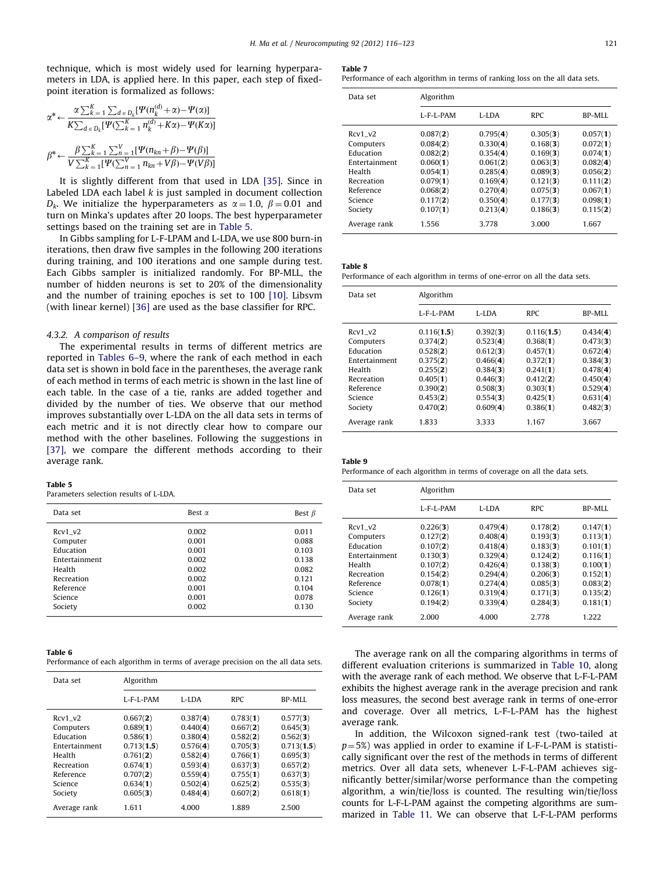technique, which is most widely used for learning hyperparameters in LDA, is applied here. In this paper, each step of fixedpoint iteration is formalized as follows:

$$
\alpha^* \leftarrow \frac{\alpha \sum_{k=1}^K \sum_{d \in D_k} [\Psi(n_k^{(d)} + \alpha) - \Psi(\alpha)]}{K \sum_{d \in D_k} [\Psi(\sum_{k=1}^K n_k^{(d)} + K\alpha) - \Psi(K\alpha)]}
$$
\n
$$
\beta^* \leftarrow \frac{\beta \sum_{k=1}^K \sum_{n=1}^V [\Psi(n_{kn} + \beta) - \Psi(\beta)]}{\sum_{k=1}^K \sum_{k=1}^V [\Psi(n_{kn} + \beta) - \Psi(\beta)]}
$$

 $\beta^*$  $V \sum_{k=1}^{K} [\Psi(\sum_{n=1}^{V} n_{kn} + V\beta) - \Psi(V\beta)]$ It is slightly different from that used in LDA [\[35\].](#page-7-0) Since in

Labeled LDA each label  $k$  is just sampled in document collection  $D_k$ . We initialize the hyperparameters as  $\alpha = 1.0$ ,  $\beta = 0.01$  and turn on Minka's updates after 20 loops. The best hyperparameter settings based on the training set are in Table 5.

In Gibbs sampling for L-F-LPAM and L-LDA, we use 800 burn-in iterations, then draw five samples in the following 200 iterations during training, and 100 iterations and one sample during test. Each Gibbs sampler is initialized randomly. For BP-MLL, the number of hidden neurons is set to 20% of the dimensionality and the number of training epoches is set to 100 [\[10\].](#page-6-0) Libsvm (with linear kernel) [\[36\]](#page-7-0) are used as the base classifier for RPC.

# 4.3.2. A comparison of results

The experimental results in terms of different metrics are reported in Tables 6–9, where the rank of each method in each data set is shown in bold face in the parentheses, the average rank of each method in terms of each metric is shown in the last line of each table. In the case of a tie, ranks are added together and divided by the number of ties. We observe that our method improves substantially over L-LDA on the all data sets in terms of each metric and it is not directly clear how to compare our method with the other baselines. Following the suggestions in [\[37\]](#page-7-0), we compare the different methods according to their average rank.

#### Table 5

Parameters selection results of L-LDA.

| Data set      | Best $\alpha$ | Best $\beta$ |
|---------------|---------------|--------------|
| $Rcv1_v2$     | 0.002         | 0.011        |
| Computer      | 0.001         | 0.088        |
| Education     | 0.001         | 0.103        |
| Entertainment | 0.002         | 0.138        |
| Health        | 0.002         | 0.082        |
| Recreation    | 0.002         | 0.121        |
| Reference     | 0.001         | 0.104        |
| Science       | 0.001         | 0.078        |
| Society       | 0.002         | 0.130        |

Table 6 Performance of each algorithm in terms of average precision on the all data sets.

| Data set      | Algorithm<br>L-LDA<br>L-F-L-PAM<br><b>RPC</b><br>BP-MLL |          |          |            |
|---------------|---------------------------------------------------------|----------|----------|------------|
|               |                                                         |          |          |            |
| $Rcv1$ $v2$   | 0.667(2)                                                | 0.387(4) | 0.783(1) | 0.577(3)   |
| Computers     | 0.689(1)                                                | 0.440(4) | 0.667(2) | 0.645(3)   |
| Education     | 0.586(1)                                                | 0.380(4) | 0.582(2) | 0.562(3)   |
| Entertainment | 0.713(1.5)                                              | 0.576(4) | 0.705(3) | 0.713(1.5) |
| Health        | 0.761(2)                                                | 0.582(4) | 0.766(1) | 0.695(3)   |
| Recreation    | 0.674(1)                                                | 0.593(4) | 0.637(3) | 0.657(2)   |
| Reference     | 0.707(2)                                                | 0.559(4) | 0.755(1) | 0.637(3)   |
| Science       | 0.634(1)                                                | 0.502(4) | 0.625(2) | 0.535(3)   |
| Society       | 0.605(3)                                                | 0.484(4) | 0.607(2) | 0.618(1)   |
| Average rank  | 1.611                                                   | 4.000    | 1.889    | 2.500      |

Table 7

Performance of each algorithm in terms of ranking loss on the all data sets.

| Data set      | Algorithm   |          |            |          |
|---------------|-------------|----------|------------|----------|
|               | $L-F-L-PAM$ | L-LDA    | <b>RPC</b> | BP-MLL   |
| $Rcv1$ $v2$   | 0.087(2)    | 0.795(4) | 0.305(3)   | 0.057(1) |
| Computers     | 0.084(2)    | 0.330(4) | 0.168(3)   | 0.072(1) |
| Education     | 0.082(2)    | 0.354(4) | 0.169(3)   | 0.074(1) |
| Entertainment | 0.060(1)    | 0.061(2) | 0.063(3)   | 0.082(4) |
| Health        | 0.054(1)    | 0.285(4) | 0.089(3)   | 0.056(2) |
| Recreation    | 0.079(1)    | 0.169(4) | 0.121(3)   | 0.111(2) |
| Reference     | 0.068(2)    | 0.270(4) | 0.075(3)   | 0.067(1) |
| Science       | 0.117(2)    | 0.350(4) | 0.177(3)   | 0.098(1) |
| Society       | 0.107(1)    | 0.213(4) | 0.186(3)   | 0.115(2) |
| Average rank  | 1.556       | 3.778    | 3.000      | 1.667    |

# Table 8

Performance of each algorithm in terms of one-error on all the data sets.

| Data set      | Algorithm  |          |            |          |
|---------------|------------|----------|------------|----------|
|               | L-F-L-PAM  | L-LDA    | <b>RPC</b> | BP-MLL   |
| $Rcv1$ $v2$   | 0.116(1.5) | 0.392(3) | 0.116(1.5) | 0.434(4) |
| Computers     | 0.374(2)   | 0.523(4) | 0.368(1)   | 0.473(3) |
| Education     | 0.528(2)   | 0.612(3) | 0.457(1)   | 0.672(4) |
| Entertainment | 0.375(2)   | 0.466(4) | 0.372(1)   | 0.384(3) |
| Health        | 0.255(2)   | 0.384(3) | 0.241(1)   | 0.478(4) |
| Recreation    | 0.405(1)   | 0.446(3) | 0.412(2)   | 0.450(4) |
| Reference     | 0.390(2)   | 0.508(3) | 0.303(1)   | 0.529(4) |
| Science       | 0.453(2)   | 0.554(3) | 0.425(1)   | 0.631(4) |
| Society       | 0.470(2)   | 0.609(4) | 0.386(1)   | 0.482(3) |
| Average rank  | 1.833      | 3.333    | 1.167      | 3.667    |

| וחו<br>ĸ |  |
|----------|--|
|----------|--|

Performance of each algorithm in terms of coverage on all the data sets.

| Data set      | Algorithm |          |            |          |
|---------------|-----------|----------|------------|----------|
|               | L-F-L-PAM | L-LDA    | <b>RPC</b> | BP-MLL   |
| $Rcv1$ $v2$   | 0.226(3)  | 0.479(4) | 0.178(2)   | 0.147(1) |
| Computers     | 0.127(2)  | 0.408(4) | 0.193(3)   | 0.113(1) |
| Education     | 0.107(2)  | 0.418(4) | 0.183(3)   | 0.101(1) |
| Entertainment | 0.130(3)  | 0.329(4) | 0.124(2)   | 0.116(1) |
| Health        | 0.107(2)  | 0.426(4) | 0.138(3)   | 0.100(1) |
| Recreation    | 0.154(2)  | 0.294(4) | 0.206(3)   | 0.152(1) |
| Reference     | 0.078(1)  | 0.274(4) | 0.085(3)   | 0.083(2) |
| Science       | 0.126(1)  | 0.319(4) | 0.171(3)   | 0.135(2) |
| Society       | 0.194(2)  | 0.339(4) | 0.284(3)   | 0.181(1) |
| Average rank  | 2.000     | 4.000    | 2.778      | 1.222    |

The average rank on all the comparing algorithms in terms of different evaluation criterions is summarized in [Table 10](#page-6-0), along with the average rank of each method. We observe that L-F-L-PAM exhibits the highest average rank in the average precision and rank loss measures, the second best average rank in terms of one-error and coverage. Over all metrics, L-F-L-PAM has the highest average rank.

In addition, the Wilcoxon signed-rank test (two-tailed at  $p=5%$ ) was applied in order to examine if L-F-L-PAM is statistically significant over the rest of the methods in terms of different metrics. Over all data sets, whenever L-F-L-PAM achieves significantly better/similar/worse performance than the competing algorithm, a win/tie/loss is counted. The resulting win/tie/loss counts for L-F-L-PAM against the competing algorithms are summarized in [Table 11.](#page-6-0) We can observe that L-F-L-PAM performs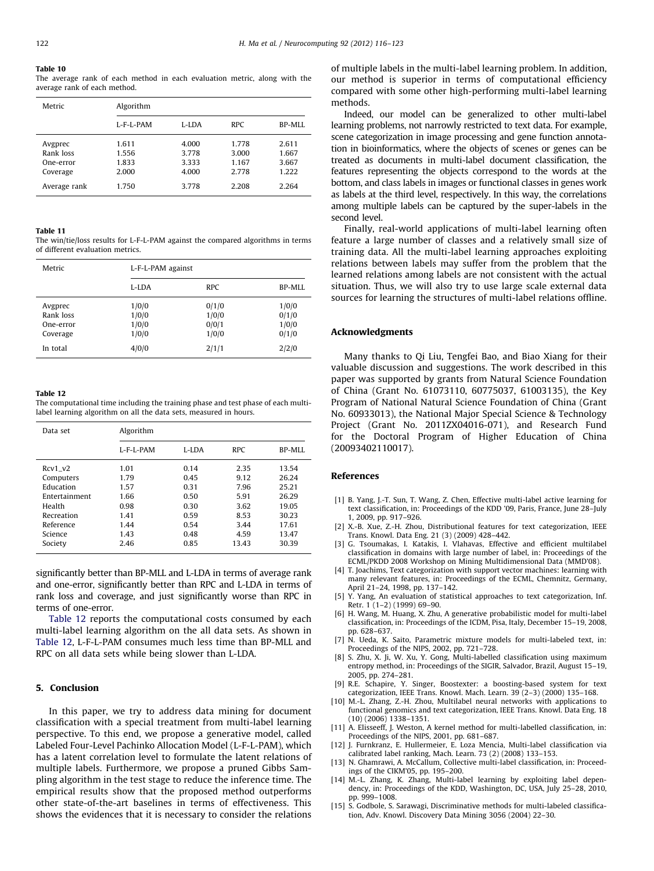#### <span id="page-6-0"></span>Table 10

The average rank of each method in each evaluation metric, along with the average rank of each method.

| Metric                                        | Algorithm                        |                                  |                                  |                                  |
|-----------------------------------------------|----------------------------------|----------------------------------|----------------------------------|----------------------------------|
|                                               | $L-F-L-PAM$                      | L-LDA                            | <b>RPC</b>                       | BP-MLL                           |
| Avgprec<br>Rank loss<br>One-error<br>Coverage | 1.611<br>1.556<br>1.833<br>2.000 | 4.000<br>3.778<br>3.333<br>4.000 | 1.778<br>3.000<br>1.167<br>2.778 | 2.611<br>1.667<br>3.667<br>1.222 |
| Average rank                                  | 1.750                            | 3.778                            | 2.208                            | 2.264                            |

#### Table 11

The win/tie/loss results for L-F-L-PAM against the compared algorithms in terms of different evaluation metrics.

| Metric                                        | L-F-L-PAM against                |                                  |                                  |
|-----------------------------------------------|----------------------------------|----------------------------------|----------------------------------|
|                                               | L-LDA                            | <b>RPC</b>                       | BP-MLL                           |
| Avgprec<br>Rank loss<br>One-error<br>Coverage | 1/0/0<br>1/0/0<br>1/0/0<br>1/0/0 | 0/1/0<br>1/0/0<br>0/0/1<br>1/0/0 | 1/0/0<br>0/1/0<br>1/0/0<br>0/1/0 |
| In total                                      | 4/0/0                            | 2/1/1                            | 2/2/0                            |

### Table 12

The computational time including the training phase and test phase of each multilabel learning algorithm on all the data sets, measured in hours.

| Data set      | Algorithm |       |            |        |
|---------------|-----------|-------|------------|--------|
|               | L-F-L-PAM | L-LDA | <b>RPC</b> | BP-MLL |
| $Rcv1$ $v2$   | 1.01      | 0.14  | 2.35       | 13.54  |
| Computers     | 1.79      | 0.45  | 9.12       | 26.24  |
| Education     | 1.57      | 0.31  | 7.96       | 25.21  |
| Entertainment | 1.66      | 0.50  | 5.91       | 26.29  |
| Health        | 0.98      | 0.30  | 3.62       | 19.05  |
| Recreation    | 1.41      | 0.59  | 8.53       | 30.23  |
| Reference     | 1.44      | 0.54  | 3.44       | 17.61  |
| Science       | 1.43      | 0.48  | 4.59       | 13.47  |
| Society       | 2.46      | 0.85  | 13.43      | 30.39  |

significantly better than BP-MLL and L-LDA in terms of average rank and one-error, significantly better than RPC and L-LDA in terms of rank loss and coverage, and just significantly worse than RPC in terms of one-error.

Table 12 reports the computational costs consumed by each multi-label learning algorithm on the all data sets. As shown in Table 12, L-F-L-PAM consumes much less time than BP-MLL and RPC on all data sets while being slower than L-LDA.

# 5. Conclusion

In this paper, we try to address data mining for document classification with a special treatment from multi-label learning perspective. To this end, we propose a generative model, called Labeled Four-Level Pachinko Allocation Model (L-F-L-PAM), which has a latent correlation level to formulate the latent relations of multiple labels. Furthermore, we propose a pruned Gibbs Sampling algorithm in the test stage to reduce the inference time. The empirical results show that the proposed method outperforms other state-of-the-art baselines in terms of effectiveness. This shows the evidences that it is necessary to consider the relations of multiple labels in the multi-label learning problem. In addition, our method is superior in terms of computational efficiency compared with some other high-performing multi-label learning methods.

Indeed, our model can be generalized to other multi-label learning problems, not narrowly restricted to text data. For example, scene categorization in image processing and gene function annotation in bioinformatics, where the objects of scenes or genes can be treated as documents in multi-label document classification, the features representing the objects correspond to the words at the bottom, and class labels in images or functional classes in genes work as labels at the third level, respectively. In this way, the correlations among multiple labels can be captured by the super-labels in the second level.

Finally, real-world applications of multi-label learning often feature a large number of classes and a relatively small size of training data. All the multi-label learning approaches exploiting relations between labels may suffer from the problem that the learned relations among labels are not consistent with the actual situation. Thus, we will also try to use large scale external data sources for learning the structures of multi-label relations offline.

# Acknowledgments

Many thanks to Qi Liu, Tengfei Bao, and Biao Xiang for their valuable discussion and suggestions. The work described in this paper was supported by grants from Natural Science Foundation of China (Grant No. 61073110, 60775037, 61003135), the Key Program of National Natural Science Foundation of China (Grant No. 60933013), the National Major Special Science & Technology Project (Grant No. 2011ZX04016-071), and Research Fund for the Doctoral Program of Higher Education of China (20093402110017).

### References

- [1] B. Yang, J.-T. Sun, T. Wang, Z. Chen, Effective multi-label active learning for text classification, in: Proceedings of the KDD '09, Paris, France, June 28–July 1, 2009, pp. 917–926.
- [2] X.-B. Xue, Z.-H. Zhou, Distributional features for text categorization, IEEE Trans. Knowl. Data Eng. 21 (3) (2009) 428–442.
- [3] G. Tsoumakas, I. Katakis, I. Vlahavas, Effective and efficient multilabel classification in domains with large number of label, in: Proceedings of the ECML/PKDD 2008 Workshop on Mining Multidimensional Data (MMD'08).
- [4] T. Joachims, Text categorization with support vector machines: learning with many relevant features, in: Proceedings of the ECML, Chemnitz, Germany, April 21–24, 1998, pp. 137–142.
- [5] Y. Yang, An evaluation of statistical approaches to text categorization, Inf. Retr. 1 (1–2) (1999) 69–90.
- [6] H. Wang, M. Huang, X. Zhu, A generative probabilistic model for multi-label classification, in: Proceedings of the ICDM, Pisa, Italy, December 15–19, 2008, pp. 628–637.
- $[7]$  N. Ueda, K. Saito, Parametric mixture models for multi-labeled text, in: Proceedings of the NIPS, 2002, pp. 721–728.
- [8] S. Zhu, X. Ji, W. Xu, Y. Gong, Multi-labelled classification using maximum entropy method, in: Proceedings of the SIGIR, Salvador, Brazil, August 15–19, 2005, pp. 274–281.
- [9] R.E. Schapire, Y. Singer, Boostexter: a boosting-based system for text categorization, IEEE Trans. Knowl. Mach. Learn. 39 (2–3) (2000) 135–168.
- [10] M.-L. Zhang, Z.-H. Zhou, Multilabel neural networks with applications to functional genomics and text categorization, IEEE Trans. Knowl. Data Eng. 18 (10) (2006) 1338–1351.
- [11] A. Elisseeff, J. Weston, A kernel method for multi-labelled classification, in: Proceedings of the NIPS, 2001, pp. 681–687.
- [12] J. Furnkranz, E. Hullermeier, E. Loza Mencia, Multi-label classification via calibrated label ranking, Mach. Learn. 73 (2) (2008) 133–153.
- [13] N. Ghamrawi, A. McCallum, Collective multi-label classification, in: Proceedings of the CIKM'05, pp. 195–200.
- [14] M.-L. Zhang, K. Zhang, Multi-label learning by exploiting label dependency, in: Proceedings of the KDD, Washington, DC, USA, July 25–28, 2010, pp. 999–1008.
- [15] S. Godbole, S. Sarawagi, Discriminative methods for multi-labeled classification, Adv. Knowl. Discovery Data Mining 3056 (2004) 22–30.